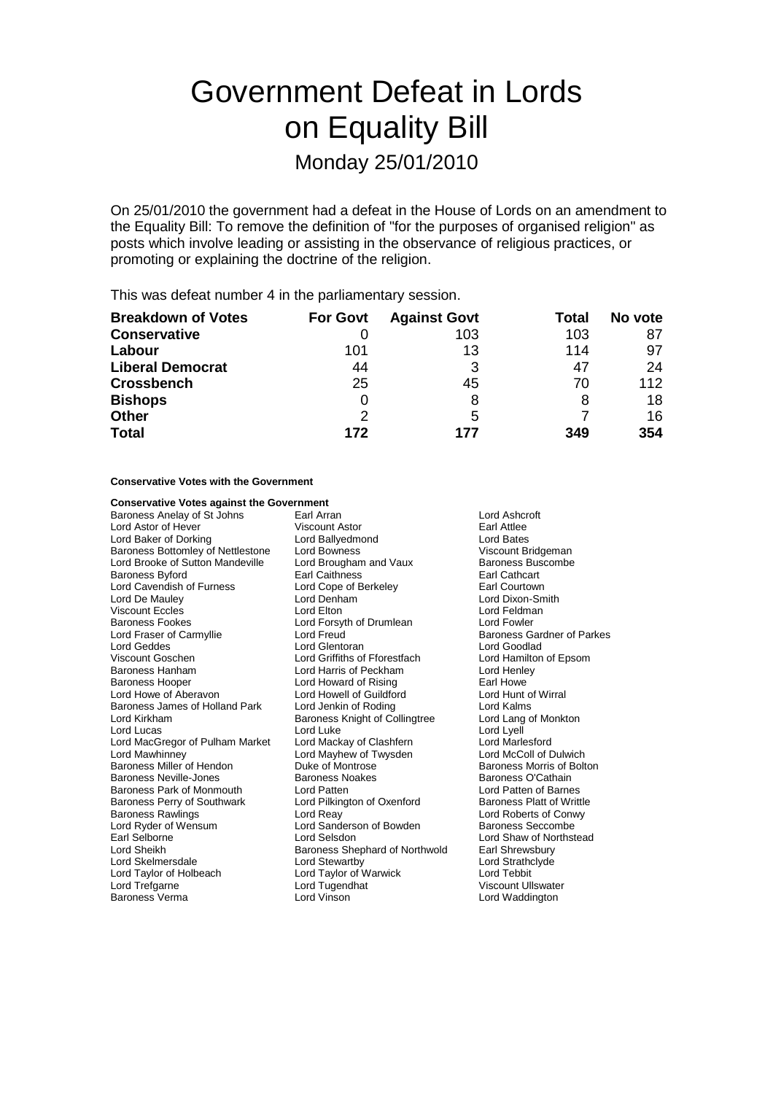# Government Defeat in Lords on Equality Bill Monday 25/01/2010

On 25/01/2010 the government had a defeat in the House of Lords on an amendment to the Equality Bill: To remove the definition of "for the purposes of organised religion" as posts which involve leading or assisting in the observance of religious practices, or promoting or explaining the doctrine of the religion.

This was defeat number 4 in the parliamentary session.

| <b>Breakdown of Votes</b> | <b>For Govt</b> | <b>Against Govt</b> | Total | No vote |
|---------------------------|-----------------|---------------------|-------|---------|
| <b>Conservative</b>       |                 | 103                 | 103   | 87      |
| Labour                    | 101             | 13                  | 114   | 97      |
| <b>Liberal Democrat</b>   | 44              | 3                   | 47    | 24      |
| <b>Crossbench</b>         | 25              | 45                  | 70    | 112     |
| <b>Bishops</b>            |                 | 8                   | 8     | 18      |
| <b>Other</b>              | 2               | 5                   |       | 16      |
| <b>Total</b>              | 172             | 177                 | 349   | 354     |

#### **Conservative Votes with the Government**

## **Conservative Votes against the Government**<br>Baroness Anelay of St Johns [ Earl Arran]

Baroness Anelay of St Johns Earl Arran Lord Ashcroft Lord Astor of Hever Viscount Astor Earl Attlee Lord Baker of Dorking **Lord Ballyedmond** Lord Bates<br>
Baroness Bottomley of Nettlestone Lord Bowness **Lorman Communisty Constant Construct** Viscount Bridgeman Baroness Bottomley of Nettlestone Lord Bowness<br>
Lord Brooke of Sutton Mandeville Lord Brougham and Vaux Baroness Buscombe Lord Brooke of Sutton Mandeville Baroness Byford Earl Caithness Earl Cathcart Lord Cavendish of Furness Lord Cope of Berkeley **Earl Courtown**<br>
Lord De Mauley **Lord Communist Communist Control**<br>
Lord De Mauley **Early Communist Communist Communist Communist Communist Communist Communist Communist Comm** Viscount Eccles Lord Elton Baroness Fookes Lord Forsyth of Drumlean Lord Fowler Lord Fraser of Carmyllie Lord Freud Lord Freud Baroness Gardner of Parkes<br>
Lord Geddes Baroness Gardner of Parkes Viscount Goschen Lord Griffiths of Fforestfach Lord Hamilton of Epsom Baroness Hanham Lord Harris of Peckham Lord Henley Lord Howe of Aberavon Lord Howell of Guildford Lord Hunt of Wirral Baroness James of Holland Park Lord Jenkin of Roding Lord Kalms<br>
Lord Kirkham Baroness Knight of Collingtree Lord Lang of Monkton Lord Lucas<br>
Lord MacGregor of Pulham Market Lord Mackay of Clashfern Lord MacGregor of Pulham Market Lord Mackay of Clashfern Lord Marlesford Lord Mayhew of Twysden Lord McColl of Dulwich<br>
Baroness Miller of Hendon Duke of Montrose Dustrom Baroness Morris of Bolton Baroness Miller of Hendon **Duke of Montrose**<br>
Baroness Neville-Jones **Baroness Montrose** Baroness O'Cathain<br>
Baroness O'Cathain Baroness Neville-Jones Baroness Park of Monmouth Lord Patten<br>
Baroness Perry of Southwark Lord Pilkington of Oxenford Baroness Platt of Writtle Baroness Perry of Southwark Baroness Rawlings Lord Reay Lord Roberts of Conwy Lord Ryder of Wensum **Lord Sanderson of Bowden** Baroness Seccombe Earl Selborne **Lord Selsdon** Lord Selsdon **Lord Shaw of Northstead**<br>
Lord Sheikh **Cord Shaw Shephard of Northwold** Earl Shrewsbury Lord Skelmersdale<br>
Lord Taylor of Holbeach Lord Taylor of Warwick Lord Taylor of Holbeach Lord Taylor of Warwick Lord Tebbit Lord Trefgarne Lord Tugendhat Viscount Ullswater Baroness Verma Lord Vinson Lord Waddington

**Lord Glentoran** Lord Howard of Rising<br>Lord Howell of Guildford Baroness Knight of Collingtree Lord Lang<br>Lord Luke Lord Lvell Baroness Shephard of Northwold Earl Shrewsbury<br>
Lord Strathclyde Lord Strathclyde

Lord Dixon-Smith<br>Lord Feldman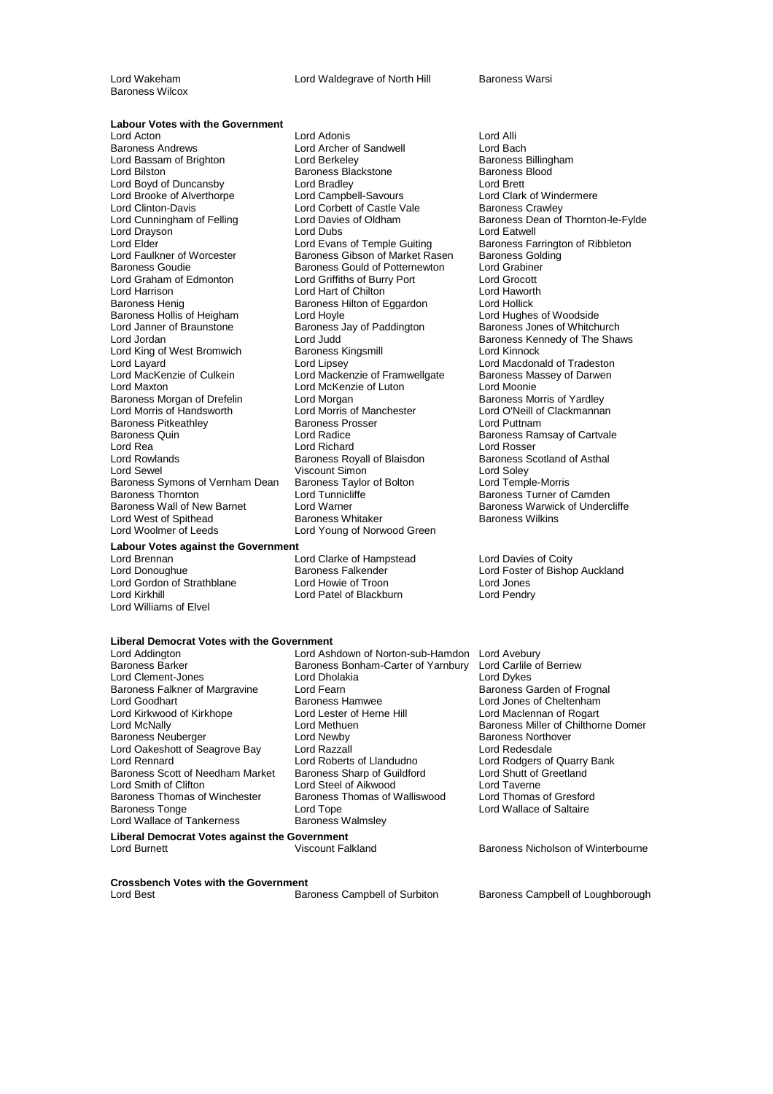Lord Wakeham **Lord Waldegrave of North Hill** Baroness Warsi

Baroness Wilcox

### **Labour Votes with the Government**

Lord Clinton-Davis<br>
Lord Cunningham of Felling<br>
Lord Davies of Oldham Lord King of West Bromwich<br>Lord Layard Baroness Morgan of Drefelin Baroness Pitkeathley **Baroness Prosser Lord Putter Baroness Pross**<br> **Baroness Quin**<br> **Baroness Quin** Baroness Symons of Vernham Dean<br>Baroness Thornton Lord West of Spithead<br>Lord Woolmer of Leeds

### **Labour Votes against the Government**

Lord Gordon of Strathblane Lord Howie of Troon Lord Jones Lord Williams of Elvel

#### Lord Acton **Lord Adonis**<br>
Lord Andrews **Lord Alli**<br>
Lord Archer of Sandwell **Lord Bach**<br>
Lord Bach Lord Archer of Sandwell **Lord Bach<br>1998 - Lord Berkeley Condition**<br>Baroness Billingham Lord Bassam of Brighton **Lord Berkeley** Lord Baroness Balling<br>Lord Bilston **Baroness Backstone** Baroness Blood Baroness Blackstone Baroness<br>
Lord Bradley Lord Campbell-Savours Lord Clark<br>
Lord Clark Lord Boyd of Duncansby Lord Bradley Lord Brett Lord Brooke of Alverthorpe Lord Campbell-Savours Lord Cord Clark of Wind<br>
Lord Cord Corbett of Castle Vale Baroness Crawley Lord Drayson **Lord Lord Dubs Lord Eatwell** Lord Elder Lord Evans of Temple Guiting Baroness Farrington of Ribbleton<br>
Lord Faulkner of Worcester Baroness Gibson of Market Rasen Baroness Golding Lord Faulkner of Worcester Baroness Gibson of Market Rasen Baroness Gold<br>Baroness Goudie Baroness Gould of Potternewton Lord Grabiner Baroness Gould of Potternewton Lord Grabine<br>
Lord Griffiths of Burry Port Lord Grocott Lord Graham of Edmonton Lord Griffiths of Burry Port Lord Grocott Lord Hart of Chilton Baroness Henig Baroness Hilton of Eggardon Lord Hollick Baroness Hollis of Heigham Lord Hoyle Lord Hoyle Lord Hughes of Woodside Lord Janner of Braunstone **Baroness Jay of Paddington** Baroness Jones of Whitchurch<br>Lord Jordan Baroness Kennedy of The Sha Lord Jordan Lord Judd (Lord Judd Clear Corporces Kennedy of The Shaws Lord Judd Clear Corporces Kennedy of The Shaws<br>Lord King of West Bromwich Clear Baroness Kingsmill Corporces Lord Kinnock Lord Layard<br>
Lord MacKenzie of Culkein Lord Mackenzie of Framwellgate Baroness Massey of Darwen Lord Mackenzie of Framwellgate Lord Maxton Lord McKenzie of Luton Lord Moonie<br>19 Mart – Lord Morgan Lord Morgan Luton Baroness Morris of Yardley Lord Morris of Handsworth Lord Morris of Manchester **Lord O'Neill of Clackmannan**<br>
Baroness Pitkeathlev **Baroness Prosser** Lord Puttnam Baroness Quin **Example 2** Lord Radice **Baroness Ramsay of Cartvale**<br> **Example 2** Lord Richard **Reserves Ramsay of Cartvale** Lord Rowlands **Baroness Royall of Blaisdon** Baroness Scotland of Asthal<br>
Lord Sewel **Baroness Royall of Blaisdon** Baroness Scotland of Asthal Viscount Simon<br>
Baroness Taylor of Bolton<br>
Lord Temple-Morris Baroness Thornton **Baroness Thornton** Lord Tunnicliffe **Baroness Turner of Camden**<br>Baroness Wall of New Barnet Lord Warner **Communist Baroness Warwick of Under**c Lord Warner **Baroness Warwick of Undercliffe**<br>Baroness Whitaker **Baroness Wilkins** Lord Young of Norwood Green

Lord Brennan **Lord Clarke of Hampstead** Alexander Coity<br>
Lord Donoughue **Lord Clarke Coint Clarke Coint Alexander** Cord Foster of Bishop Lord Patel of Blackburn

### **Liberal Democrat Votes with the Government**

Lord Addington **Lord Ashdown of Norton-sub-Hamdon** Lord Avebury<br>Baroness Barker **Communist Baroness Bonham-Carter of Yarnbury** Lord Carlile of Berriew Baroness Falkner of Margravine Lord Fearn<br>Lord Goodhart **Baroness Hamwee** Lord Oakeshott of Seagrove Bay Lord Razzall<br>
Lord Rennard Lord Roberts of Llandudno Baroness Scott of Needham Market<br>Lord Smith of Clifton Baroness Thomas of Winchester Baroness Thomas of Walliswood<br>Baroness Tonge Baroness Thomas of Walliswood Lord Wallace of Tankerness

Baroness Bonham-Carter of Yarnbury Lord Clement-Jones Lord Dholakia Lord Dykes<br>
Baroness Falkner of Margravine Lord Fearn Lord Text Clement Baroness Garden of Frognal Lord Kirkwood of Kirkhope Lord Lester of Herne Hill Lord Maclennan of Rogart<br>
Lord McNally Lord Methuen Lord Methuen Baroness Miller of Chilthorn Lord Methuen **Lord Methuen** Baroness Miller of Chilthorne Domer<br>
Baroness Northover Baroness Neuberger Lord Newby Baroness Northover Lord Rennard Lord Roberts of Llandudno Lord Rodgers of Quarry Bank Lord Smith of Clifton Lord Steel of Aikwood Lord Taverne Lord Tope<br>Baroness Walmsley<br>
Baroness Walmsley **Liberal Democrat Votes against the Government**

Eurences Crame,<br>Baroness Dean of Thornton-le-Fylde Lord Rosser

Baroness Falkender **Lord Foster of Bishop Auckland** 

Lord Jones of Cheltenham

Lord Burnett Viscount Falkland Baroness Nicholson of Winterbourne

## **Crossbench Votes with the Government**

Baroness Campbell of Loughborough